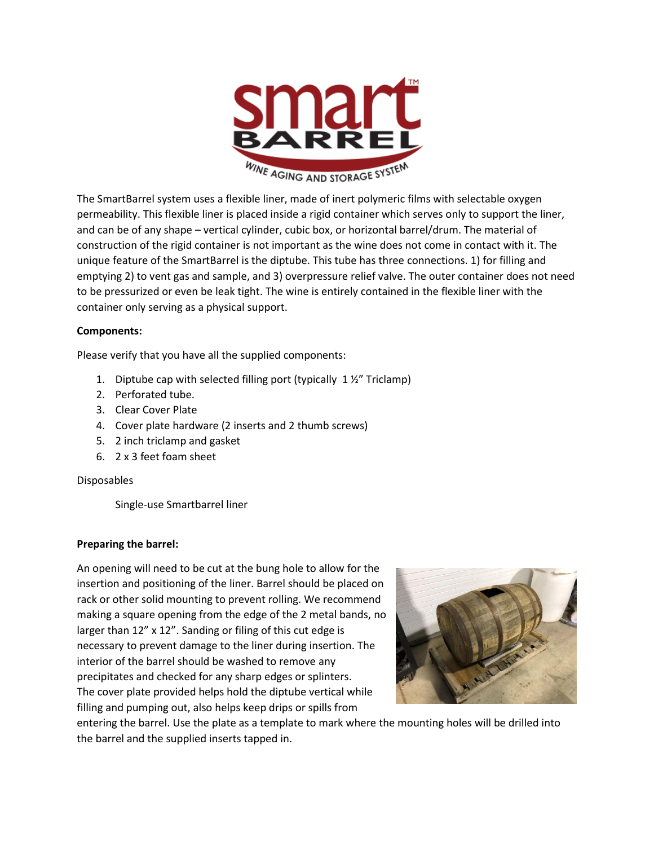

The SmartBarrel system uses a flexible liner, made of inert polymeric films with selectable oxygen permeability. This flexible liner is placed inside a rigid container which serves only to support the liner, and can be of any shape – vertical cylinder, cubic box, or horizontal barrel/drum. The material of construction of the rigid container is not important as the wine does not come in contact with it. The unique feature of the SmartBarrel is the diptube. This tube has three connections. 1) for filling and emptying 2) to vent gas and sample, and 3) overpressure relief valve. The outer container does not need to be pressurized or even be leak tight. The wine is entirely contained in the flexible liner with the container only serving as a physical support.

### **Components:**

Please verify that you have all the supplied components:

- 1. Diptube cap with selected filling port (typically 1 ½" Triclamp)
- 2. Perforated tube.
- 3. Clear Cover Plate
- 4. Cover plate hardware (2 inserts and 2 thumb screws)
- 5. 2 inch triclamp and gasket
- 6. 2 x 3 feet foam sheet

### Disposables

Single-use Smartbarrel liner

### **Preparing the barrel:**

An opening will need to be cut at the bung hole to allow for the insertion and positioning of the liner. Barrel should be placed on rack or other solid mounting to prevent rolling. We recommend making a square opening from the edge of the 2 metal bands, no larger than 12" x 12". Sanding or filing of this cut edge is necessary to prevent damage to the liner during insertion. The interior of the barrel should be washed to remove any precipitates and checked for any sharp edges or splinters. The cover plate provided helps hold the diptube vertical while filling and pumping out, also helps keep drips or spills from



entering the barrel. Use the plate as a template to mark where the mounting holes will be drilled into the barrel and the supplied inserts tapped in.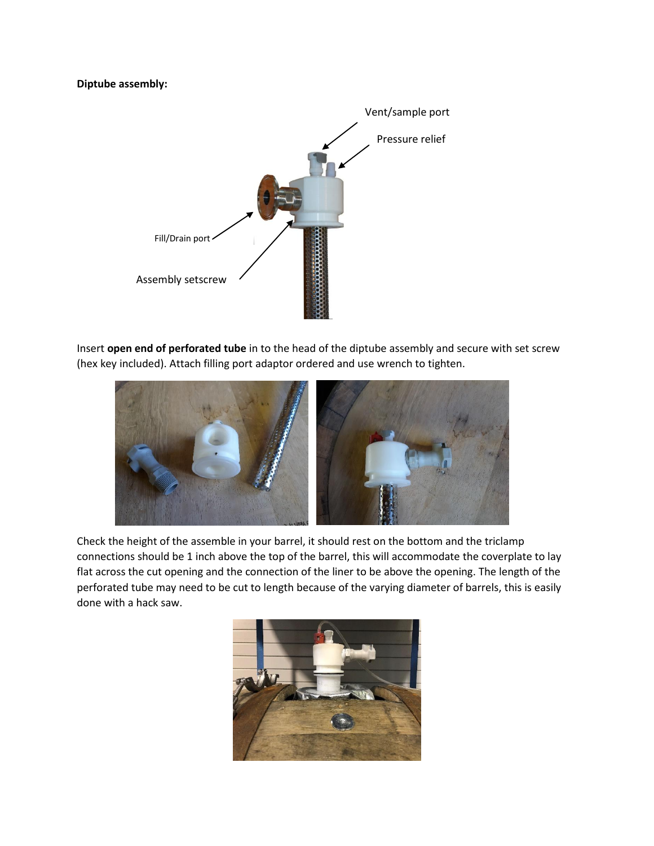#### **Diptube assembly:**



Insert **open end of perforated tube** in to the head of the diptube assembly and secure with set screw (hex key included). Attach filling port adaptor ordered and use wrench to tighten.



Check the height of the assemble in your barrel, it should rest on the bottom and the triclamp connections should be 1 inch above the top of the barrel, this will accommodate the coverplate to lay flat across the cut opening and the connection of the liner to be above the opening. The length of the perforated tube may need to be cut to length because of the varying diameter of barrels, this is easily done with a hack saw.

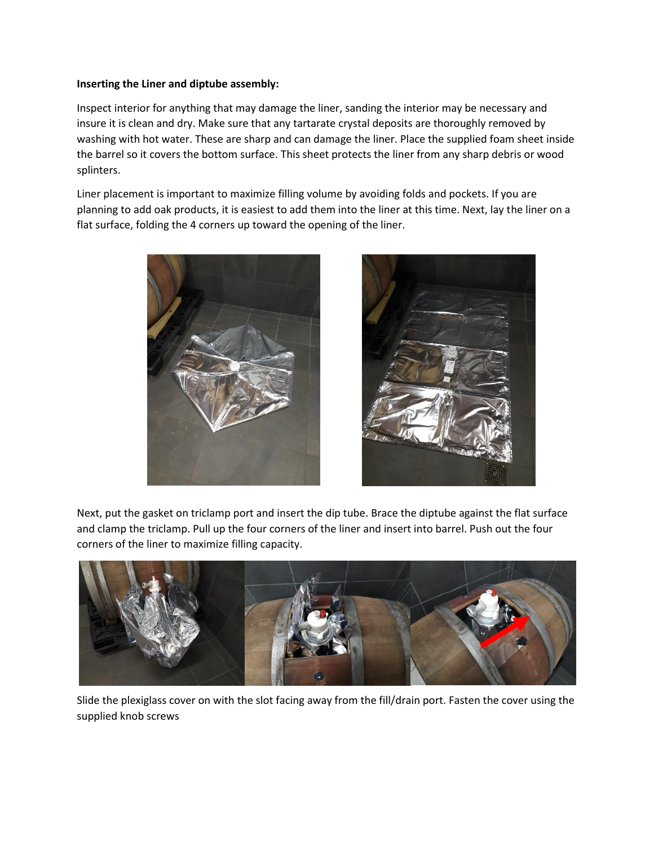#### **Inserting the Liner and diptube assembly:**

Inspect interior for anything that may damage the liner, sanding the interior may be necessary and insure it is clean and dry. Make sure that any tartarate crystal deposits are thoroughly removed by washing with hot water. These are sharp and can damage the liner. Place the supplied foam sheet inside the barrel so it covers the bottom surface. This sheet protects the liner from any sharp debris or wood splinters.

Liner placement is important to maximize filling volume by avoiding folds and pockets. If you are planning to add oak products, it is easiest to add them into the liner at this time. Next, lay the liner on a flat surface, folding the 4 corners up toward the opening of the liner.





Next, put the gasket on triclamp port and insert the dip tube. Brace the diptube against the flat surface and clamp the triclamp. Pull up the four corners of the liner and insert into barrel. Push out the four corners of the liner to maximize filling capacity.



Slide the plexiglass cover on with the slot facing away from the fill/drain port. Fasten the cover using the supplied knob screws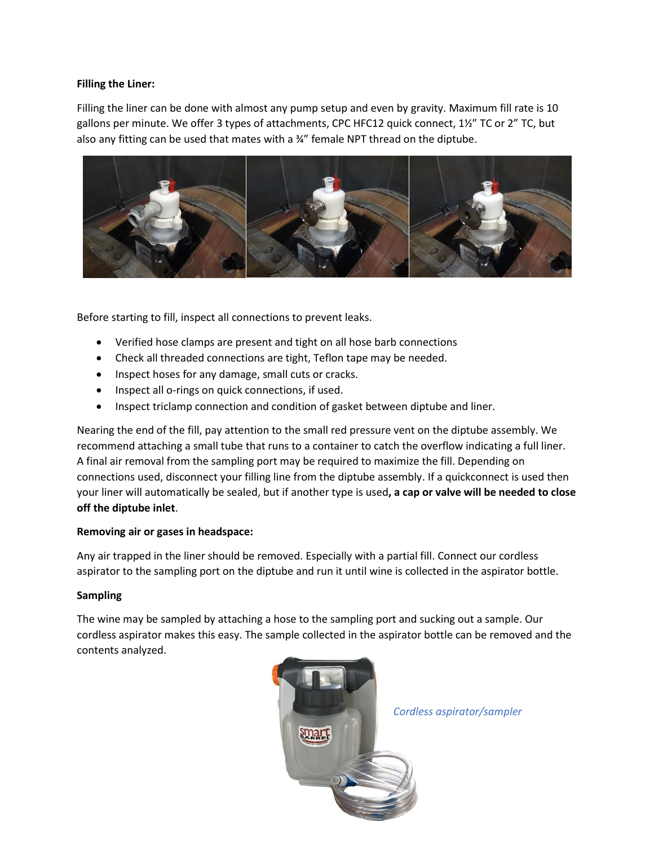### **Filling the Liner:**

Filling the liner can be done with almost any pump setup and even by gravity. Maximum fill rate is 10 gallons per minute. We offer 3 types of attachments, CPC HFC12 quick connect, 1½" TC or 2" TC, but also any fitting can be used that mates with a ¾" female NPT thread on the diptube.



Before starting to fill, inspect all connections to prevent leaks.

- Verified hose clamps are present and tight on all hose barb connections
- Check all threaded connections are tight, Teflon tape may be needed.
- Inspect hoses for any damage, small cuts or cracks.
- Inspect all o-rings on quick connections, if used.
- Inspect triclamp connection and condition of gasket between diptube and liner.

Nearing the end of the fill, pay attention to the small red pressure vent on the diptube assembly. We recommend attaching a small tube that runs to a container to catch the overflow indicating a full liner. A final air removal from the sampling port may be required to maximize the fill. Depending on connections used, disconnect your filling line from the diptube assembly. If a quickconnect is used then your liner will automatically be sealed, but if another type is used**, a cap or valve will be needed to close off the diptube inlet**.

### **Removing air or gases in headspace:**

Any air trapped in the liner should be removed. Especially with a partial fill. Connect our cordless aspirator to the sampling port on the diptube and run it until wine is collected in the aspirator bottle.

### **Sampling**

The wine may be sampled by attaching a hose to the sampling port and sucking out a sample. Our cordless aspirator makes this easy. The sample collected in the aspirator bottle can be removed and the contents analyzed.



*Cordless aspirator/sampler*